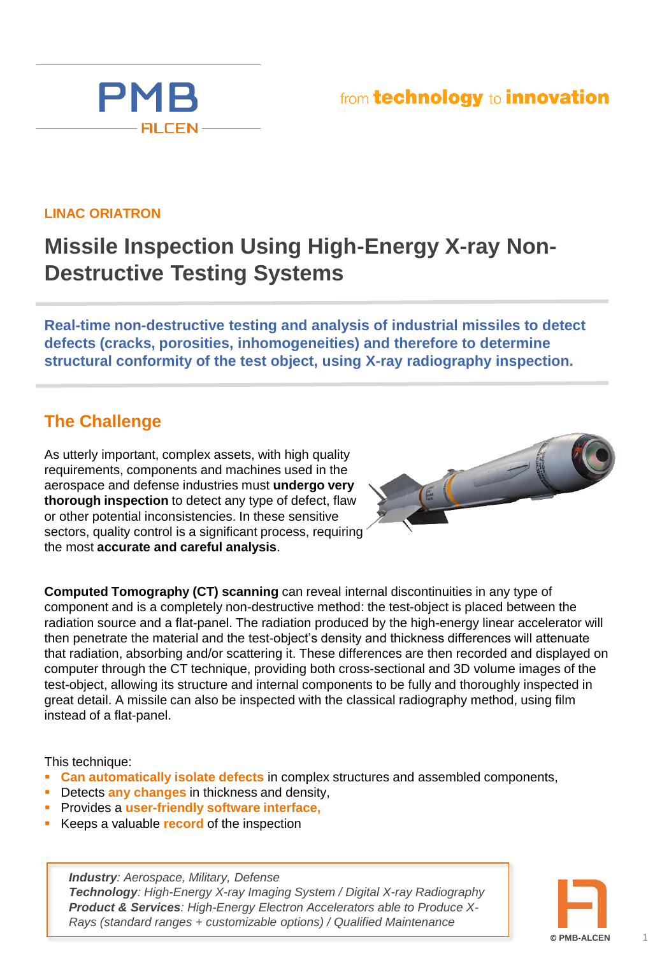## from technology to innovation



PMB

**FILCEN** 

## **Missile Inspection Using High-Energy X-ray Non-Destructive Testing Systems**

**Real-time non-destructive testing and analysis of industrial missiles to detect defects (cracks, porosities, inhomogeneities) and therefore to determine structural conformity of the test object, using X-ray radiography inspection.** 

#### **The Challenge**

As utterly important, complex assets, with high quality requirements, components and machines used in the aerospace and defense industries must **undergo very thorough inspection** to detect any type of defect, flaw or other potential inconsistencies. In these sensitive sectors, quality control is a significant process, requiring the most **accurate and careful analysis**.



**Computed Tomography (CT) scanning** can reveal internal discontinuities in any type of component and is a completely non-destructive method: the test-object is placed between the radiation source and a flat-panel. The radiation produced by the high-energy linear accelerator will then penetrate the material and the test-object's density and thickness differences will attenuate that radiation, absorbing and/or scattering it. These differences are then recorded and displayed on computer through the CT technique, providing both cross-sectional and 3D volume images of the test-object, allowing its structure and internal components to be fully and thoroughly inspected in great detail. A missile can also be inspected with the classical radiography method, using film instead of a flat-panel.

This technique:

- **Can automatically isolate defects** in complex structures and assembled components,
- **Detects any changes** in thickness and density,
- Provides a **user-friendly software interface,**
- Keeps a valuable **record** of the inspection

*Industry: Aerospace, Military, Defense Technology: High-Energy X-ray Imaging System / Digital X-ray Radiography Product & Services: High-Energy Electron Accelerators able to Produce X-Rays (standard ranges + customizable options) / Qualified Maintenance* 

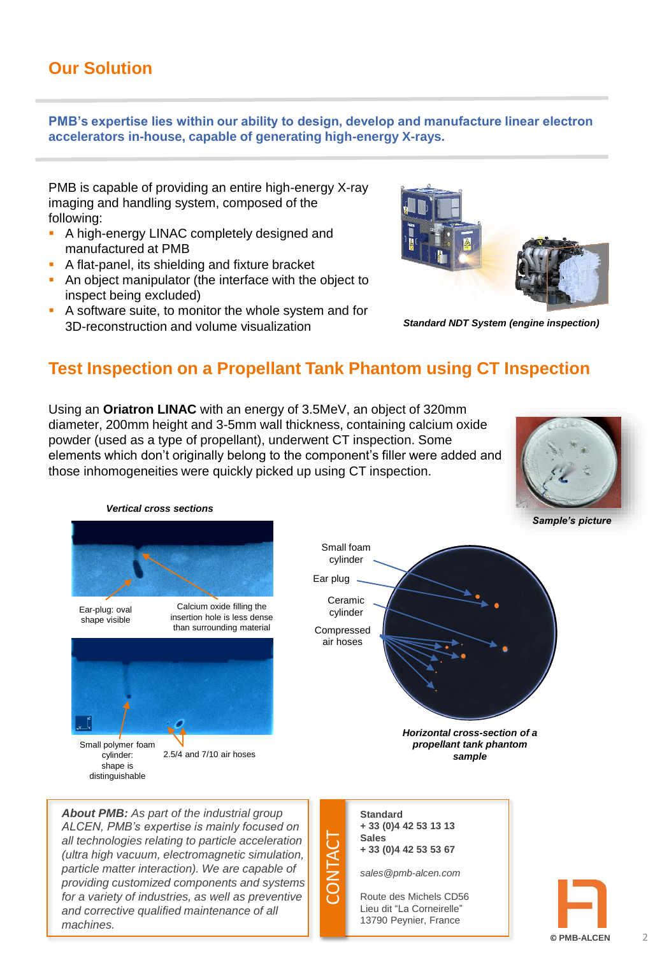#### **Our Solution**

**PMB's expertise lies within our ability to design, develop and manufacture linear electron accelerators in-house, capable of generating high-energy X-rays.** 

PMB is capable of providing an entire high-energy X-ray imaging and handling system, composed of the following:

- A high-energy LINAC completely designed and manufactured at PMB
- A flat-panel, its shielding and fixture bracket
- An object manipulator (the interface with the object to inspect being excluded)
- A software suite, to monitor the whole system and for 3D-reconstruction and volume visualization



*Standard NDT System (engine inspection)*

#### **Test Inspection on a Propellant Tank Phantom using CT Inspection**

Using an **Oriatron LINAC** with an energy of 3.5MeV, an object of 320mm diameter, 200mm height and 3-5mm wall thickness, containing calcium oxide powder (used as a type of propellant), underwent CT inspection. Some elements which don't originally belong to the component's filler were added and those inhomogeneities were quickly picked up using CT inspection.



#### *Vertical cross sections*

*and corrective qualified maintenance of all* 

*machines.*



Lieu dit "La Corneirelle" 13790 Peynier, France

**© PMB-ALCEN**

 $\overline{\mathcal{L}}$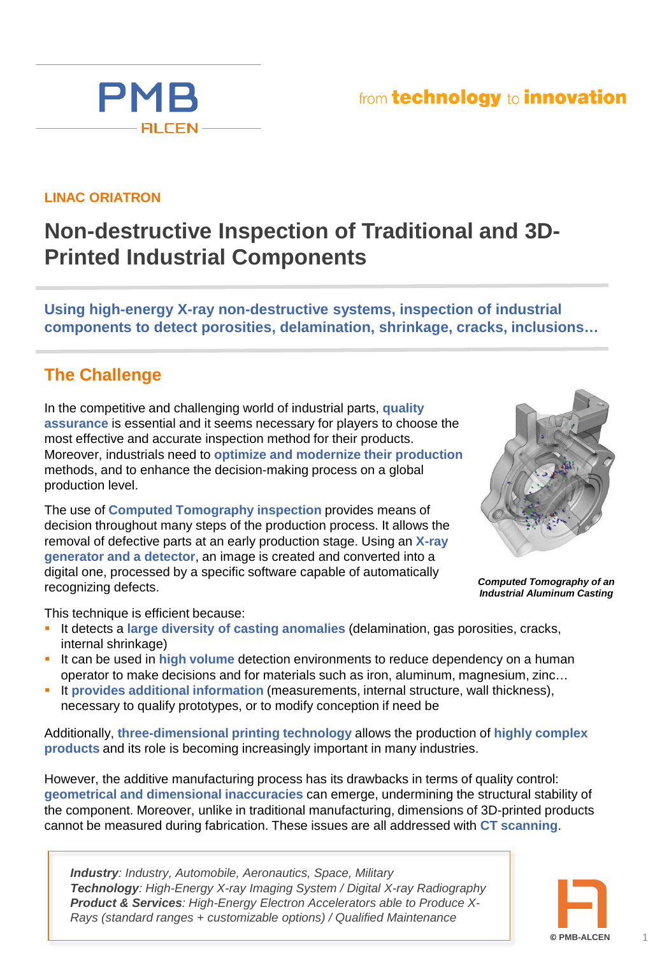## from technology to innovation



**PMB** 

**FILCEN-**

## **Non-destructive Inspection of Traditional and 3D-Printed Industrial Components**

**Using high-energy X-ray non-destructive systems, inspection of industrial components to detect porosities, delamination, shrinkage, cracks, inclusions…**

#### **The Challenge**

In the competitive and challenging world of industrial parts, **quality assurance** is essential and it seems necessary for players to choose the most effective and accurate inspection method for their products. Moreover, industrials need to **optimize and modernize their production**  methods, and to enhance the decision-making process on a global production level.

The use of **Computed Tomography inspection** provides means of decision throughout many steps of the production process. It allows the removal of defective parts at an early production stage. Using an **X-ray generator and a detector**, an image is created and converted into a digital one, processed by a specific software capable of automatically recognizing defects.



*Computed Tomography of an Industrial Aluminum Casting*

This technique is efficient because:

- It detects a **large diversity of casting anomalies** (delamination, gas porosities, cracks, internal shrinkage)
- It can be used in high volume detection environments to reduce dependency on a human operator to make decisions and for materials such as iron, aluminum, magnesium, zinc…
- **It provides additional information (measurements, internal structure, wall thickness),** necessary to qualify prototypes, or to modify conception if need be

Additionally, **three-dimensional printing technology** allows the production of **highly complex products** and its role is becoming increasingly important in many industries.

However, the additive manufacturing process has its drawbacks in terms of quality control: **geometrical and dimensional inaccuracies** can emerge, undermining the structural stability of the component. Moreover, unlike in traditional manufacturing, dimensions of 3D-printed products cannot be measured during fabrication. These issues are all addressed with **CT scanning**.

*Industry: Industry, Automobile, Aeronautics, Space, Military Technology: High-Energy X-ray Imaging System / Digital X-ray Radiography Product & Services: High-Energy Electron Accelerators able to Produce X-Rays (standard ranges + customizable options) / Qualified Maintenance* 

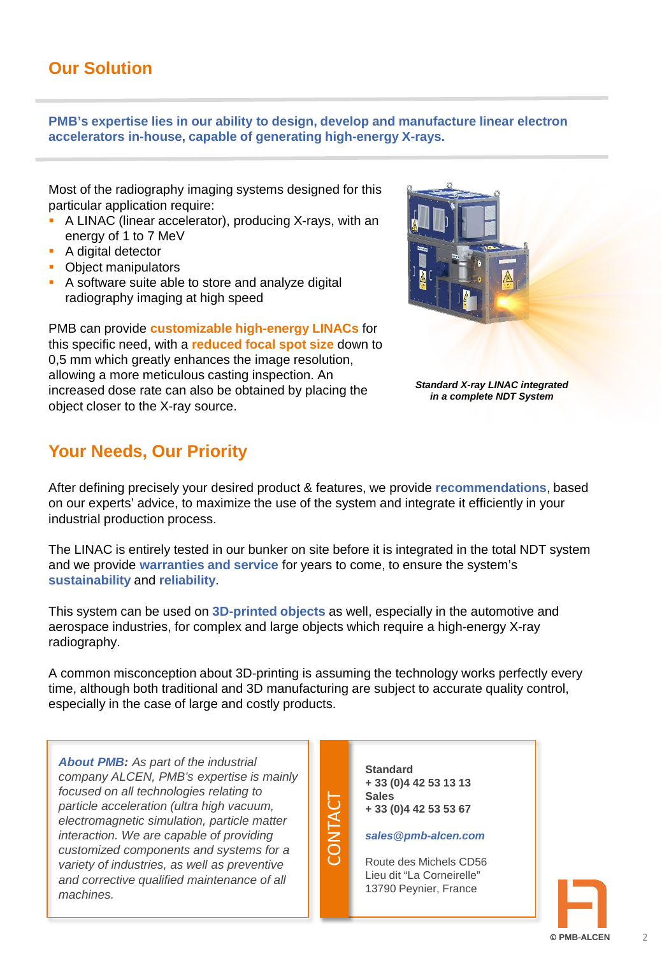**PMB's expertise lies in our ability to design, develop and manufacture linear electron accelerators in-house, capable of generating high-energy X-rays.** 

Most of the radiography imaging systems designed for this particular application require:

- A LINAC (linear accelerator), producing X-rays, with an energy of 1 to 7 MeV
- **A** digital detector
- Object manipulators
- A software suite able to store and analyze digital radiography imaging at high speed

PMB can provide **customizable high-energy LINACs** for this specific need, with a **reduced focal spot size** down to 0,5 mm which greatly enhances the image resolution, allowing a more meticulous casting inspection. An increased dose rate can also be obtained by placing the object closer to the X-ray source.

### **Your Needs, Our Priority**

*Standard X-ray LINAC integrated in a complete NDT System*

After defining precisely your desired product & features, we provide **recommendations**, based on our experts' advice, to maximize the use of the system and integrate it efficiently in your industrial production process.

The LINAC is entirely tested in our bunker on site before it is integrated in the total NDT system and we provide **warranties and service** for years to come, to ensure the system's **sustainability** and **reliability**.

This system can be used on **3D-printed objects** as well, especially in the automotive and aerospace industries, for complex and large objects which require a high-energy X-ray radiography.

A common misconception about 3D-printing is assuming the technology works perfectly every time, although both traditional and 3D manufacturing are subject to accurate quality control, especially in the case of large and costly products.

CONTACT

*About PMB: As part of the industrial company ALCEN, PMB's expertise is mainly focused on all technologies relating to particle acceleration (ultra high vacuum, electromagnetic simulation, particle matter interaction. We are capable of providing customized components and systems for a variety of industries, as well as preventive and corrective qualified maintenance of all machines.*

**Standard + 33 (0)4 42 53 13 13 Sales + 33 (0)4 42 53 53 67**

#### *sales@pmb-alcen.com*

Route des Michels CD56 Lieu dit "La Corneirelle" 13790 Peynier, France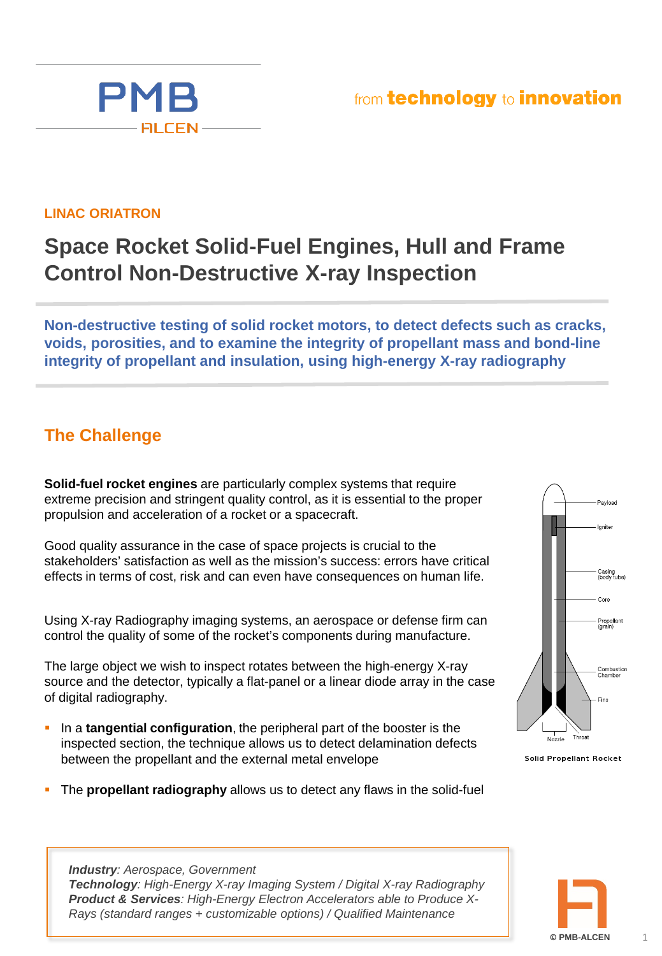#### **LINAC ORIATRON**

**PMB** 

**FILCEN** 

# **Space Rocket Solid-Fuel Engines, Hull and Frame Control Non-Destructive X-ray Inspection**

**Non-destructive testing of solid rocket motors, to detect defects such as cracks, voids, porosities, and to examine the integrity of propellant mass and bond-line integrity of propellant and insulation, using high-energy X-ray radiography** 

### **The Challenge**

**Solid-fuel rocket engines** are particularly complex systems that require extreme precision and stringent quality control, as it is essential to the proper propulsion and acceleration of a rocket or a spacecraft.

Good quality assurance in the case of space projects is crucial to the stakeholders' satisfaction as well as the mission's success: errors have critical effects in terms of cost, risk and can even have consequences on human life.

Using X-ray Radiography imaging systems, an aerospace or defense firm can control the quality of some of the rocket's components during manufacture.

The large object we wish to inspect rotates between the high-energy X-ray source and the detector, typically a flat-panel or a linear diode array in the case of digital radiography.

- **In a tangential configuration**, the peripheral part of the booster is the inspected section, the technique allows us to detect delamination defects between the propellant and the external metal envelope
- The **propellant radiography** allows us to detect any flaws in the solid-fuel

*Technology: High-Energy X-ray Imaging System / Digital X-ray Radiography Product & Services: High-Energy Electron Accelerators able to Produce X-Rays (standard ranges + customizable options) / Qualified Maintenance* 

*Industry: Aerospace, Government*

Payload Igniter Casing<br>(body tube) Core Propellant<br>(grain) Combustion<br>Chamber Fins Throat

Solid Propellant Rocket



1